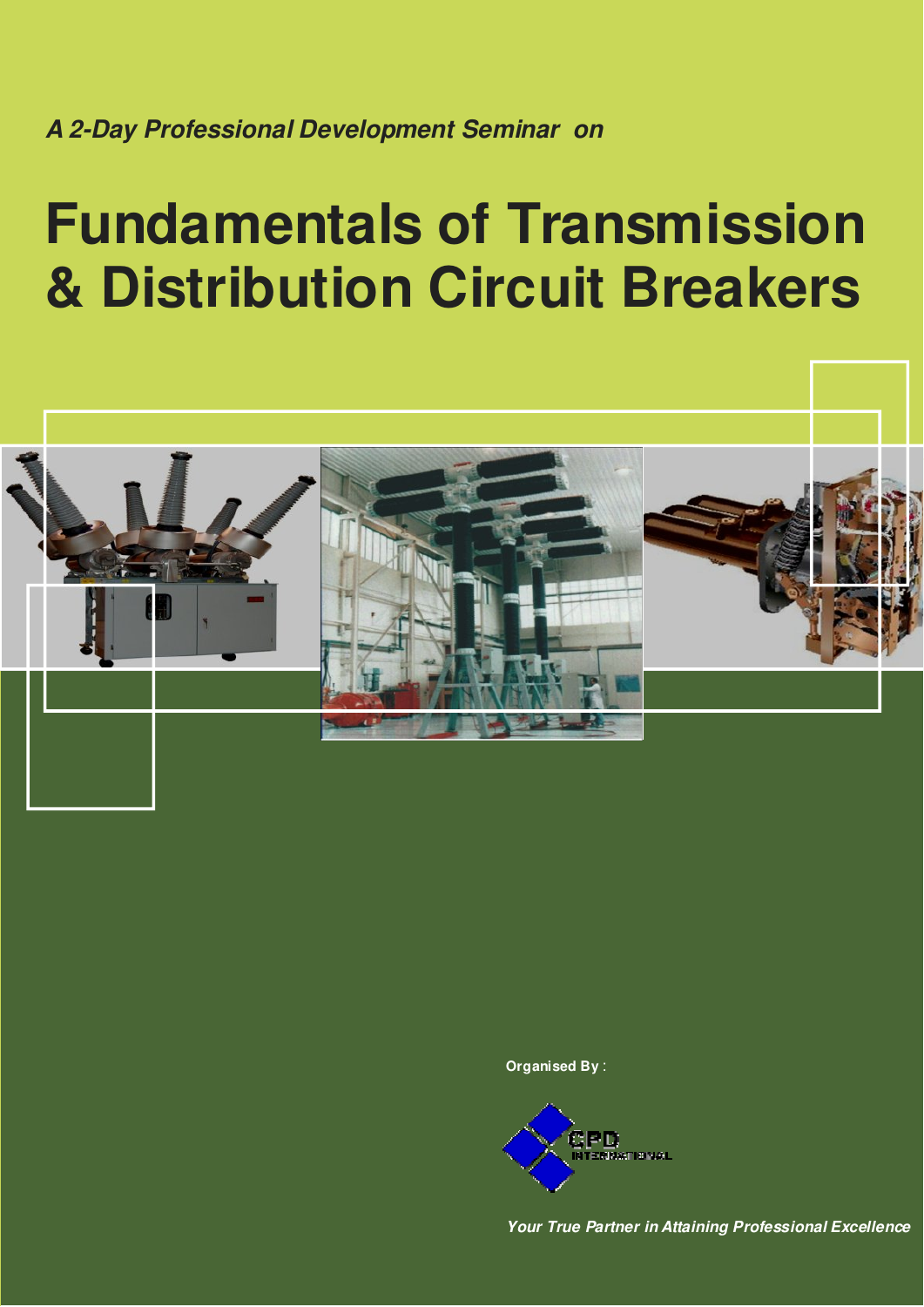**A 2-Day Professional Development Seminar on**

# **Fundamentals of Transmission & Distribution Circuit Breakers**



**Organised By** :



**Your True Partner in Attaining Professional Excellence**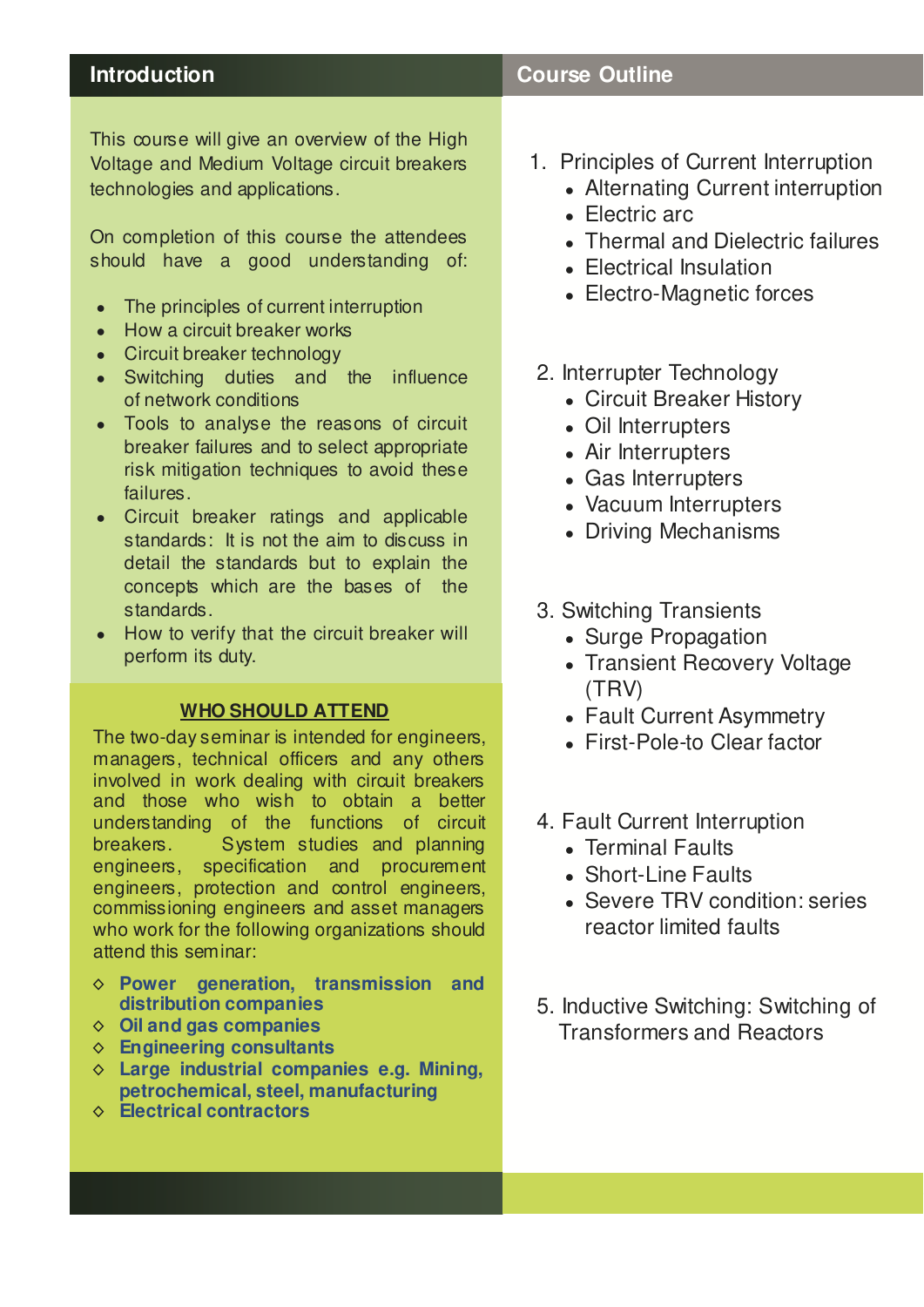## **Introduction Course Outline**

This course will give an overview of the High Voltage and Medium Voltage circuit breakers technologies and applications.

On completion of this course the attendees should have a good understanding of:

- The principles of current interruption
- How a circuit breaker works
- Circuit breaker technology
- Switching duties and the influence of network conditions
- Tools to analyse the reasons of circuit breaker failures and to select appropriate risk mitigation techniques to avoid these failures.
- Circuit breaker ratings and applicable standards: It is not the aim to discuss in detail the standards but to explain the concepts which are the bases of the standards.
- How to verify that the circuit breaker will perform its duty.

### **WHO SHOULD ATTEND**

The two-day seminar is intended for engineers, managers, technical officers and any others involved in work dealing with circuit breakers and those who wish to obtain a better understanding of the functions of circuit breakers. System studies and planning engineers, specification and procurement engineers, protection and control engineers, commissioning engineers and asset managers who work for the following organizations should attend this seminar:

- ◊ **Power generation, transmission and distribution companies**
- ◊ **Oil and gas companies**
- ◊ **Engineering consultants**
- ◊ **Large industrial companies e.g. Mining, petrochemical, steel, manufacturing**
- ◊ **Electrical contractors**
- 1. Principles of Current Interruption
	- Alternating Current interruption
- Electric arc  $\bullet$  Historic and
- $\bullet$  Thermal and Dielectric failures
- Electrical Insulation
- Electro-Magnetic forces
	- sunter Toebnele 2. Interrupter Technology
		- Circuit Breaker History
- Oil Interrupters
	- A in list survivations • Air Interrupters
	- Gas Interrupters
	- Vacuum Interrupters
- Driving Mechanisms
	- 3. Switching Transients
		- Surge Propagation
- Capacitive Current Super • Transient Recovery Voltage (TRV)
	- Fault Current Asymmetry
- Parallel sw itching • First-Pole-to Clear factor
	- 4. Fault Current Interruption
- Terminal Faults
	- Short-Line Faults
- Severe TRV condition: series reactor limited faults
- faults Transformers and Reactors 5. Inductive Switching: Switching of